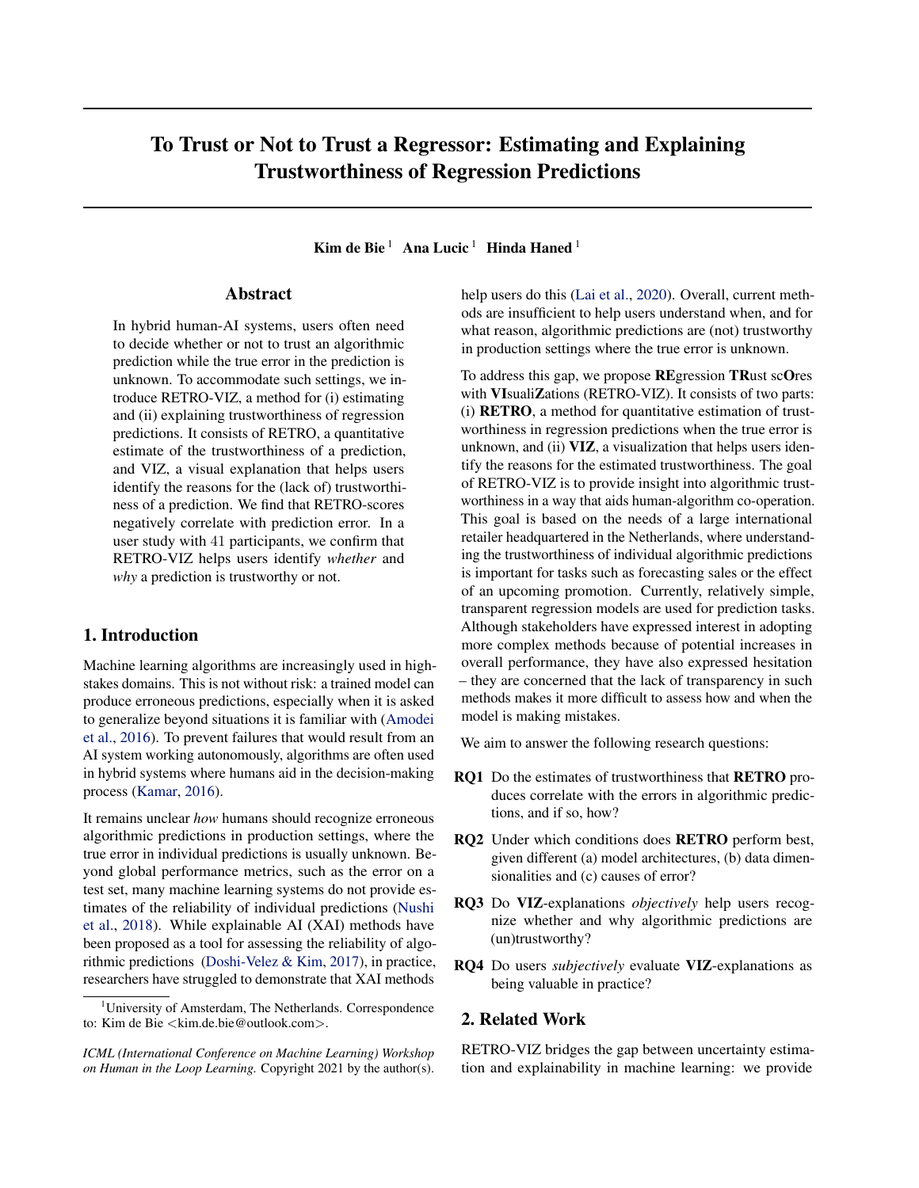# To Trust or Not to Trust a Regressor: Estimating and Explaining Trustworthiness of Regression Predictions

Kim de Bie  $1$  Ana Lucic  $1$  Hinda Haned  $1$ 

## Abstract

In hybrid human-AI systems, users often need to decide whether or not to trust an algorithmic prediction while the true error in the prediction is unknown. To accommodate such settings, we introduce RETRO-VIZ, a method for (i) estimating and (ii) explaining trustworthiness of regression predictions. It consists of RETRO, a quantitative estimate of the trustworthiness of a prediction, and VIZ, a visual explanation that helps users identify the reasons for the (lack of) trustworthiness of a prediction. We find that RETRO-scores negatively correlate with prediction error. In a user study with 41 participants, we confirm that RETRO-VIZ helps users identify *whether* and *why* a prediction is trustworthy or not.

# 1. Introduction

Machine learning algorithms are increasingly used in highstakes domains. This is not without risk: a trained model can produce erroneous predictions, especially when it is asked to generalize beyond situations it is familiar with [\(Amodei](#page-8-0) [et al.,](#page-8-0) [2016\)](#page-8-0). To prevent failures that would result from an AI system working autonomously, algorithms are often used in hybrid systems where humans aid in the decision-making process [\(Kamar,](#page-8-0) [2016\)](#page-8-0).

It remains unclear *how* humans should recognize erroneous algorithmic predictions in production settings, where the true error in individual predictions is usually unknown. Beyond global performance metrics, such as the error on a test set, many machine learning systems do not provide estimates of the reliability of individual predictions [\(Nushi](#page-9-0) [et al.,](#page-9-0) [2018\)](#page-9-0). While explainable AI (XAI) methods have been proposed as a tool for assessing the reliability of algorithmic predictions [\(Doshi-Velez & Kim,](#page-8-0) [2017\)](#page-8-0), in practice, researchers have struggled to demonstrate that XAI methods

help users do this [\(Lai et al.,](#page-8-0) [2020\)](#page-8-0). Overall, current methods are insufficient to help users understand when, and for what reason, algorithmic predictions are (not) trustworthy in production settings where the true error is unknown.

To address this gap, we propose REgression TRust scOres with VIsualiZations (RETRO-VIZ). It consists of two parts: (i) RETRO, a method for quantitative estimation of trustworthiness in regression predictions when the true error is unknown, and (ii) VIZ, a visualization that helps users identify the reasons for the estimated trustworthiness. The goal of RETRO-VIZ is to provide insight into algorithmic trustworthiness in a way that aids human-algorithm co-operation. This goal is based on the needs of a large international retailer headquartered in the Netherlands, where understanding the trustworthiness of individual algorithmic predictions is important for tasks such as forecasting sales or the effect of an upcoming promotion. Currently, relatively simple, transparent regression models are used for prediction tasks. Although stakeholders have expressed interest in adopting more complex methods because of potential increases in overall performance, they have also expressed hesitation – they are concerned that the lack of transparency in such methods makes it more difficult to assess how and when the model is making mistakes.

We aim to answer the following research questions:

- RQ1 Do the estimates of trustworthiness that RETRO produces correlate with the errors in algorithmic predictions, and if so, how?
- RQ2 Under which conditions does RETRO perform best, given different (a) model architectures, (b) data dimensionalities and (c) causes of error?
- RQ3 Do VIZ-explanations *objectively* help users recognize whether and why algorithmic predictions are (un)trustworthy?
- RQ4 Do users *subjectively* evaluate VIZ-explanations as being valuable in practice?

# 2. Related Work

RETRO-VIZ bridges the gap between uncertainty estimation and explainability in machine learning: we provide

<sup>&</sup>lt;sup>1</sup>University of Amsterdam, The Netherlands. Correspondence to: Kim de Bie <kim.de.bie@outlook.com>.

*ICML (International Conference on Machine Learning) Workshop on Human in the Loop Learning.* Copyright 2021 by the author(s).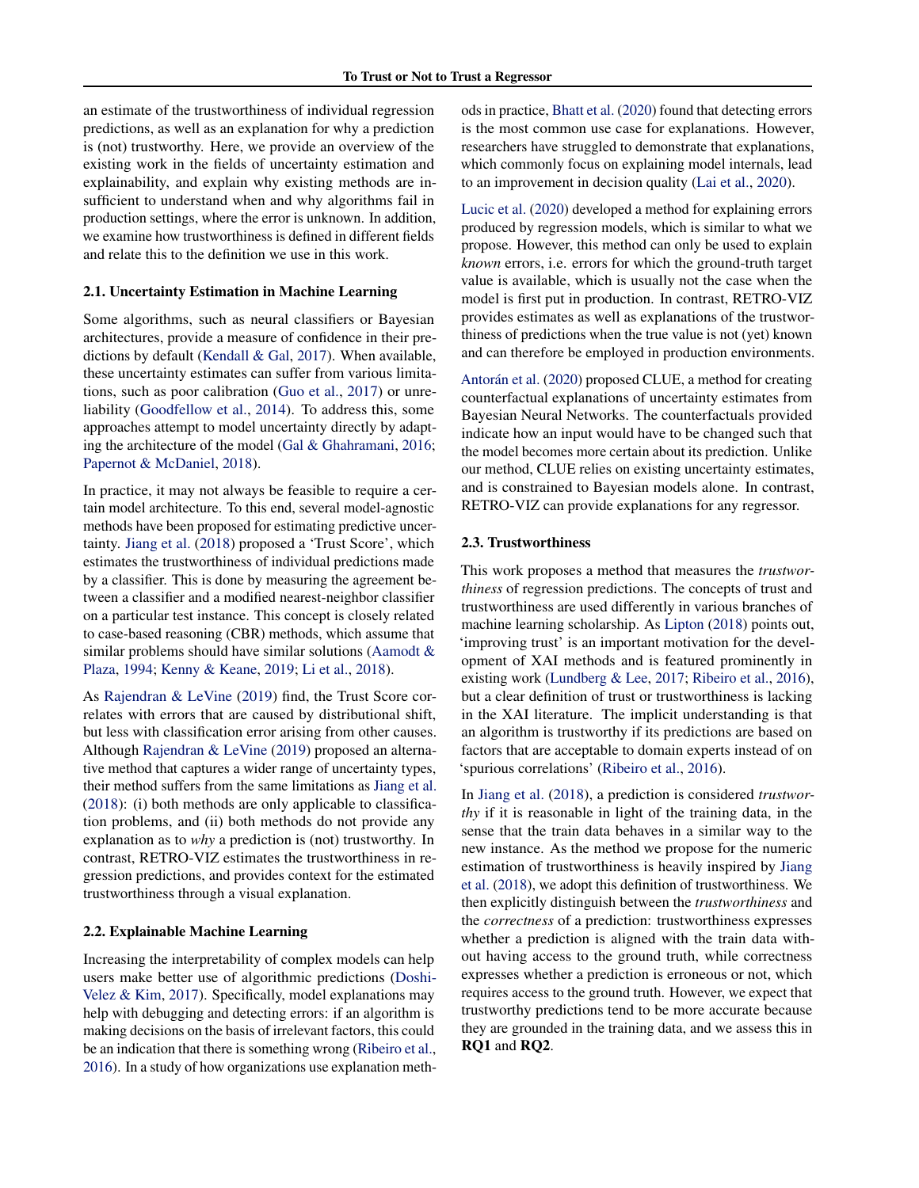an estimate of the trustworthiness of individual regression predictions, as well as an explanation for why a prediction is (not) trustworthy. Here, we provide an overview of the existing work in the fields of uncertainty estimation and explainability, and explain why existing methods are insufficient to understand when and why algorithms fail in production settings, where the error is unknown. In addition, we examine how trustworthiness is defined in different fields and relate this to the definition we use in this work.

#### 2.1. Uncertainty Estimation in Machine Learning

Some algorithms, such as neural classifiers or Bayesian architectures, provide a measure of confidence in their predictions by default [\(Kendall & Gal,](#page-8-0) [2017\)](#page-8-0). When available, these uncertainty estimates can suffer from various limitations, such as poor calibration [\(Guo et al.,](#page-8-0) [2017\)](#page-8-0) or unreliability [\(Goodfellow et al.,](#page-8-0) [2014\)](#page-8-0). To address this, some approaches attempt to model uncertainty directly by adapting the architecture of the model [\(Gal & Ghahramani,](#page-8-0) [2016;](#page-8-0) [Papernot & McDaniel,](#page-9-0) [2018\)](#page-9-0).

In practice, it may not always be feasible to require a certain model architecture. To this end, several model-agnostic methods have been proposed for estimating predictive uncertainty. [Jiang et al.](#page-8-0) [\(2018\)](#page-8-0) proposed a 'Trust Score', which estimates the trustworthiness of individual predictions made by a classifier. This is done by measuring the agreement between a classifier and a modified nearest-neighbor classifier on a particular test instance. This concept is closely related to case-based reasoning (CBR) methods, which assume that similar problems should have similar solutions [\(Aamodt &](#page-8-0) [Plaza,](#page-8-0) [1994;](#page-8-0) [Kenny & Keane,](#page-8-0) [2019;](#page-8-0) [Li et al.,](#page-8-0) [2018\)](#page-8-0).

As [Rajendran & LeVine](#page-9-0) [\(2019\)](#page-9-0) find, the Trust Score correlates with errors that are caused by distributional shift, but less with classification error arising from other causes. Although [Rajendran & LeVine](#page-9-0) [\(2019\)](#page-9-0) proposed an alternative method that captures a wider range of uncertainty types, their method suffers from the same limitations as [Jiang et al.](#page-8-0) [\(2018\)](#page-8-0): (i) both methods are only applicable to classification problems, and (ii) both methods do not provide any explanation as to *why* a prediction is (not) trustworthy. In contrast, RETRO-VIZ estimates the trustworthiness in regression predictions, and provides context for the estimated trustworthiness through a visual explanation.

## 2.2. Explainable Machine Learning

Increasing the interpretability of complex models can help users make better use of algorithmic predictions [\(Doshi-](#page-8-0)[Velez & Kim,](#page-8-0) [2017\)](#page-8-0). Specifically, model explanations may help with debugging and detecting errors: if an algorithm is making decisions on the basis of irrelevant factors, this could be an indication that there is something wrong [\(Ribeiro et al.,](#page-9-0) [2016\)](#page-9-0). In a study of how organizations use explanation methods in practice, [Bhatt et al.](#page-8-0) [\(2020\)](#page-8-0) found that detecting errors is the most common use case for explanations. However, researchers have struggled to demonstrate that explanations, which commonly focus on explaining model internals, lead to an improvement in decision quality [\(Lai et al.,](#page-8-0) [2020\)](#page-8-0).

[Lucic et al.](#page-8-0) [\(2020\)](#page-8-0) developed a method for explaining errors produced by regression models, which is similar to what we propose. However, this method can only be used to explain *known* errors, i.e. errors for which the ground-truth target value is available, which is usually not the case when the model is first put in production. In contrast, RETRO-VIZ provides estimates as well as explanations of the trustworthiness of predictions when the true value is not (yet) known and can therefore be employed in production environments.

Antorán et al. [\(2020\)](#page-8-0) proposed CLUE, a method for creating counterfactual explanations of uncertainty estimates from Bayesian Neural Networks. The counterfactuals provided indicate how an input would have to be changed such that the model becomes more certain about its prediction. Unlike our method, CLUE relies on existing uncertainty estimates, and is constrained to Bayesian models alone. In contrast, RETRO-VIZ can provide explanations for any regressor.

#### 2.3. Trustworthiness

This work proposes a method that measures the *trustworthiness* of regression predictions. The concepts of trust and trustworthiness are used differently in various branches of machine learning scholarship. As [Lipton](#page-8-0) [\(2018\)](#page-8-0) points out, 'improving trust' is an important motivation for the development of XAI methods and is featured prominently in existing work [\(Lundberg & Lee,](#page-8-0) [2017;](#page-8-0) [Ribeiro et al.,](#page-9-0) [2016\)](#page-9-0), but a clear definition of trust or trustworthiness is lacking in the XAI literature. The implicit understanding is that an algorithm is trustworthy if its predictions are based on factors that are acceptable to domain experts instead of on 'spurious correlations' [\(Ribeiro et al.,](#page-9-0) [2016\)](#page-9-0).

In [Jiang et al.](#page-8-0) [\(2018\)](#page-8-0), a prediction is considered *trustworthy* if it is reasonable in light of the training data, in the sense that the train data behaves in a similar way to the new instance. As the method we propose for the numeric estimation of trustworthiness is heavily inspired by [Jiang](#page-8-0) [et al.](#page-8-0) [\(2018\)](#page-8-0), we adopt this definition of trustworthiness. We then explicitly distinguish between the *trustworthiness* and the *correctness* of a prediction: trustworthiness expresses whether a prediction is aligned with the train data without having access to the ground truth, while correctness expresses whether a prediction is erroneous or not, which requires access to the ground truth. However, we expect that trustworthy predictions tend to be more accurate because they are grounded in the training data, and we assess this in RQ1 and RQ2.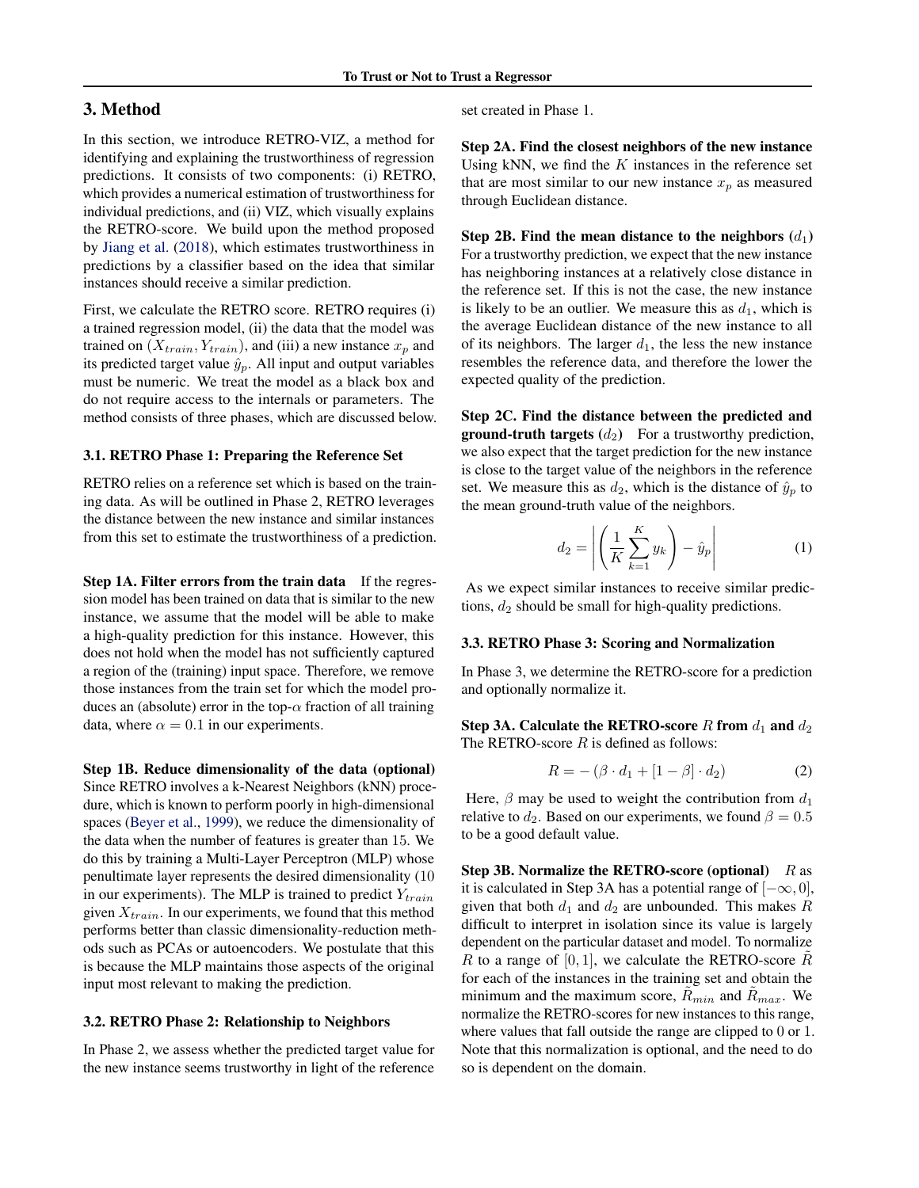# 3. Method

In this section, we introduce RETRO-VIZ, a method for identifying and explaining the trustworthiness of regression predictions. It consists of two components: (i) RETRO, which provides a numerical estimation of trustworthiness for individual predictions, and (ii) VIZ, which visually explains the RETRO-score. We build upon the method proposed by [Jiang et al.](#page-8-0) [\(2018\)](#page-8-0), which estimates trustworthiness in predictions by a classifier based on the idea that similar instances should receive a similar prediction.

First, we calculate the RETRO score. RETRO requires (i) a trained regression model, (ii) the data that the model was trained on  $(X_{train}, Y_{train})$ , and (iii) a new instance  $x_p$  and its predicted target value  $\hat{y}_p$ . All input and output variables must be numeric. We treat the model as a black box and do not require access to the internals or parameters. The method consists of three phases, which are discussed below.

## 3.1. RETRO Phase 1: Preparing the Reference Set

RETRO relies on a reference set which is based on the training data. As will be outlined in Phase 2, RETRO leverages the distance between the new instance and similar instances from this set to estimate the trustworthiness of a prediction.

Step 1A. Filter errors from the train data If the regression model has been trained on data that is similar to the new instance, we assume that the model will be able to make a high-quality prediction for this instance. However, this does not hold when the model has not sufficiently captured a region of the (training) input space. Therefore, we remove those instances from the train set for which the model produces an (absolute) error in the top- $\alpha$  fraction of all training data, where  $\alpha = 0.1$  in our experiments.

Step 1B. Reduce dimensionality of the data (optional) Since RETRO involves a k-Nearest Neighbors (kNN) procedure, which is known to perform poorly in high-dimensional spaces [\(Beyer et al.,](#page-8-0) [1999\)](#page-8-0), we reduce the dimensionality of the data when the number of features is greater than 15. We do this by training a Multi-Layer Perceptron (MLP) whose penultimate layer represents the desired dimensionality (10 in our experiments). The MLP is trained to predict  $Y_{train}$ given  $X_{train}$ . In our experiments, we found that this method performs better than classic dimensionality-reduction methods such as PCAs or autoencoders. We postulate that this is because the MLP maintains those aspects of the original input most relevant to making the prediction.

#### 3.2. RETRO Phase 2: Relationship to Neighbors

In Phase 2, we assess whether the predicted target value for the new instance seems trustworthy in light of the reference

set created in Phase 1.

Step 2A. Find the closest neighbors of the new instance Using kNN, we find the  $K$  instances in the reference set that are most similar to our new instance  $x_p$  as measured through Euclidean distance.

Step 2B. Find the mean distance to the neighbors  $(d_1)$ For a trustworthy prediction, we expect that the new instance has neighboring instances at a relatively close distance in the reference set. If this is not the case, the new instance is likely to be an outlier. We measure this as  $d_1$ , which is the average Euclidean distance of the new instance to all of its neighbors. The larger  $d_1$ , the less the new instance resembles the reference data, and therefore the lower the expected quality of the prediction.

Step 2C. Find the distance between the predicted and **ground-truth targets**  $(d_2)$  For a trustworthy prediction, we also expect that the target prediction for the new instance is close to the target value of the neighbors in the reference set. We measure this as  $d_2$ , which is the distance of  $\hat{y}_p$  to the mean ground-truth value of the neighbors.

$$
d_2 = \left| \left( \frac{1}{K} \sum_{k=1}^{K} y_k \right) - \hat{y}_p \right| \tag{1}
$$

As we expect similar instances to receive similar predictions,  $d_2$  should be small for high-quality predictions.

#### 3.3. RETRO Phase 3: Scoring and Normalization

In Phase 3, we determine the RETRO-score for a prediction and optionally normalize it.

Step 3A. Calculate the RETRO-score  $R$  from  $d_1$  and  $d_2$ The RETRO-score  $R$  is defined as follows:

$$
R = -(\beta \cdot d_1 + [1 - \beta] \cdot d_2) \tag{2}
$$

Here,  $\beta$  may be used to weight the contribution from  $d_1$ relative to  $d_2$ . Based on our experiments, we found  $\beta = 0.5$ to be a good default value.

Step 3B. Normalize the RETRO-score (optional)  $R$  as it is calculated in Step 3A has a potential range of  $[-\infty, 0]$ , given that both  $d_1$  and  $d_2$  are unbounded. This makes R difficult to interpret in isolation since its value is largely dependent on the particular dataset and model. To normalize R to a range of  $[0, 1]$ , we calculate the RETRO-score R for each of the instances in the training set and obtain the minimum and the maximum score,  $R_{min}$  and  $R_{max}$ . We normalize the RETRO-scores for new instances to this range, where values that fall outside the range are clipped to 0 or 1. Note that this normalization is optional, and the need to do so is dependent on the domain.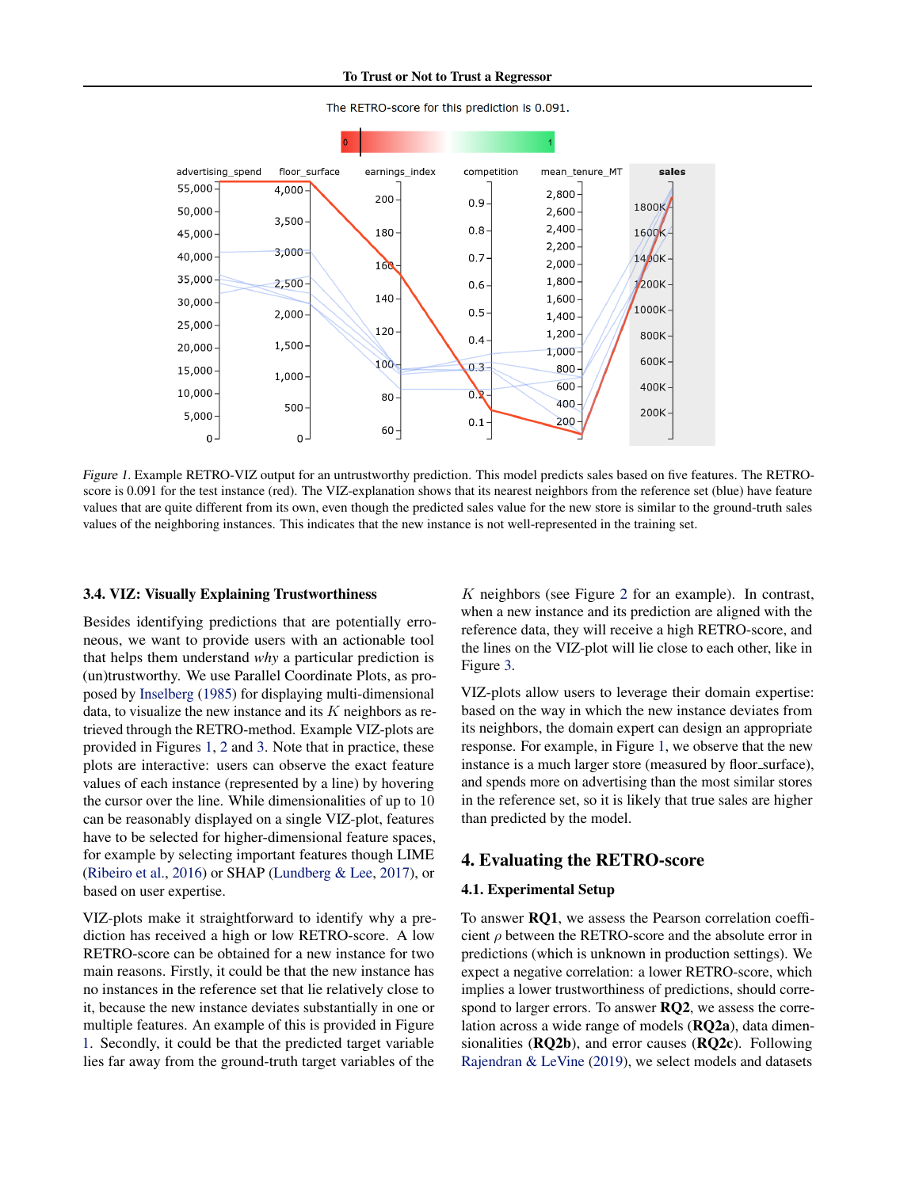<span id="page-3-0"></span>

The RETRO-score for this prediction is 0.091.

Figure 1. Example RETRO-VIZ output for an untrustworthy prediction. This model predicts sales based on five features. The RETROscore is 0.091 for the test instance (red). The VIZ-explanation shows that its nearest neighbors from the reference set (blue) have feature values that are quite different from its own, even though the predicted sales value for the new store is similar to the ground-truth sales values of the neighboring instances. This indicates that the new instance is not well-represented in the training set.

## 3.4. VIZ: Visually Explaining Trustworthiness

Besides identifying predictions that are potentially erroneous, we want to provide users with an actionable tool that helps them understand *why* a particular prediction is (un)trustworthy. We use Parallel Coordinate Plots, as proposed by [Inselberg](#page-8-0) [\(1985\)](#page-8-0) for displaying multi-dimensional data, to visualize the new instance and its  $K$  neighbors as retrieved through the RETRO-method. Example VIZ-plots are provided in Figures 1, [2](#page-7-0) and [3.](#page-7-0) Note that in practice, these plots are interactive: users can observe the exact feature values of each instance (represented by a line) by hovering the cursor over the line. While dimensionalities of up to 10 can be reasonably displayed on a single VIZ-plot, features have to be selected for higher-dimensional feature spaces, for example by selecting important features though LIME [\(Ribeiro et al.,](#page-9-0) [2016\)](#page-9-0) or SHAP [\(Lundberg & Lee,](#page-8-0) [2017\)](#page-8-0), or based on user expertise.

VIZ-plots make it straightforward to identify why a prediction has received a high or low RETRO-score. A low RETRO-score can be obtained for a new instance for two main reasons. Firstly, it could be that the new instance has no instances in the reference set that lie relatively close to it, because the new instance deviates substantially in one or multiple features. An example of this is provided in Figure 1. Secondly, it could be that the predicted target variable lies far away from the ground-truth target variables of the

K neighbors (see Figure [2](#page-7-0) for an example). In contrast, when a new instance and its prediction are aligned with the reference data, they will receive a high RETRO-score, and the lines on the VIZ-plot will lie close to each other, like in Figure [3.](#page-7-0)

VIZ-plots allow users to leverage their domain expertise: based on the way in which the new instance deviates from its neighbors, the domain expert can design an appropriate response. For example, in Figure 1, we observe that the new instance is a much larger store (measured by floor\_surface), and spends more on advertising than the most similar stores in the reference set, so it is likely that true sales are higher than predicted by the model.

## 4. Evaluating the RETRO-score

#### 4.1. Experimental Setup

To answer RQ1, we assess the Pearson correlation coefficient  $\rho$  between the RETRO-score and the absolute error in predictions (which is unknown in production settings). We expect a negative correlation: a lower RETRO-score, which implies a lower trustworthiness of predictions, should correspond to larger errors. To answer RQ2, we assess the correlation across a wide range of models (RQ2a), data dimensionalities (RQ2b), and error causes (RQ2c). Following [Rajendran & LeVine](#page-9-0) [\(2019\)](#page-9-0), we select models and datasets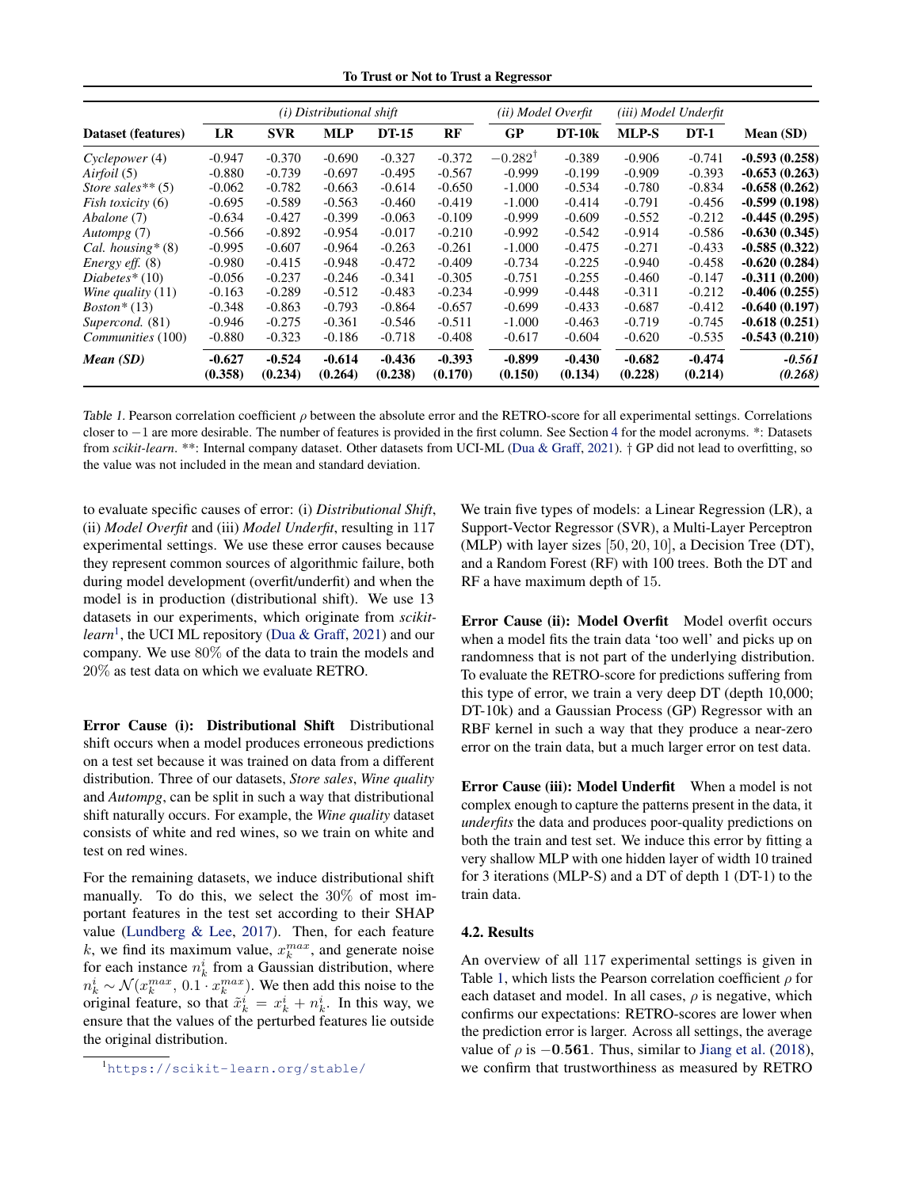To Trust or Not to Trust a Regressor

<span id="page-4-0"></span>

|                        | ( <i>i</i> ) Distributional shift |                     |                     |                     | (ii) Model Overfit  |                     | (iii) Model Underfit |                     |                     |                     |
|------------------------|-----------------------------------|---------------------|---------------------|---------------------|---------------------|---------------------|----------------------|---------------------|---------------------|---------------------|
| Dataset (features)     | LR                                | <b>SVR</b>          | <b>MLP</b>          | <b>DT-15</b>        | RF                  | GP                  | $DT-10k$             | MLP-S               | $DT-1$              | Mean (SD)           |
| Cyclepower (4)         | $-0.947$                          | $-0.370$            | $-0.690$            | $-0.327$            | $-0.372$            | $-0.282^{\dagger}$  | $-0.389$             | $-0.906$            | $-0.741$            | $-0.593(0.258)$     |
| Airfoil (5)            | $-0.880$                          | $-0.739$            | $-0.697$            | $-0.495$            | $-0.567$            | $-0.999$            | $-0.199$             | $-0.909$            | $-0.393$            | $-0.653(0.263)$     |
| Store sales $**(5)$    | $-0.062$                          | $-0.782$            | $-0.663$            | $-0.614$            | $-0.650$            | $-1.000$            | $-0.534$             | $-0.780$            | $-0.834$            | $-0.658(0.262)$     |
| Fish toxicity (6)      | $-0.695$                          | $-0.589$            | $-0.563$            | $-0.460$            | $-0.419$            | $-1.000$            | $-0.414$             | $-0.791$            | $-0.456$            | $-0.599(0.198)$     |
| Abalone (7)            | $-0.634$                          | -0.427              | $-0.399$            | $-0.063$            | $-0.109$            | $-0.999$            | $-0.609$             | $-0.552$            | $-0.212$            | $-0.445(0.295)$     |
| Autompg (7)            | $-0.566$                          | $-0.892$            | $-0.954$            | $-0.017$            | $-0.210$            | $-0.992$            | $-0.542$             | $-0.914$            | $-0.586$            | $-0.630(0.345)$     |
| Cal. housing $*(8)$    | $-0.995$                          | $-0.607$            | $-0.964$            | $-0.263$            | $-0.261$            | $-1.000$            | $-0.475$             | $-0.271$            | $-0.433$            | $-0.585(0.322)$     |
| <i>Energy eff.</i> (8) | $-0.980$                          | $-0.415$            | $-0.948$            | $-0.472$            | $-0.409$            | $-0.734$            | $-0.225$             | $-0.940$            | $-0.458$            | $-0.620(0.284)$     |
| $Diabetes*(10)$        | $-0.056$                          | $-0.237$            | $-0.246$            | $-0.341$            | $-0.305$            | $-0.751$            | $-0.255$             | $-0.460$            | $-0.147$            | $-0.311(0.200)$     |
| Wine quality $(11)$    | $-0.163$                          | $-0.289$            | $-0.512$            | $-0.483$            | $-0.234$            | $-0.999$            | $-0.448$             | $-0.311$            | $-0.212$            | $-0.406(0.255)$     |
| $Boston*(13)$          | $-0.348$                          | $-0.863$            | $-0.793$            | $-0.864$            | $-0.657$            | $-0.699$            | $-0.433$             | $-0.687$            | $-0.412$            | $-0.640(0.197)$     |
| Supercond. (81)        | $-0.946$                          | $-0.275$            | $-0.361$            | $-0.546$            | $-0.511$            | $-1.000$            | $-0.463$             | $-0.719$            | $-0.745$            | $-0.618(0.251)$     |
| Communities (100)      | $-0.880$                          | $-0.323$            | $-0.186$            | $-0.718$            | $-0.408$            | $-0.617$            | $-0.604$             | $-0.620$            | $-0.535$            | $-0.543(0.210)$     |
| Mean(SD)               | $-0.627$<br>(0.358)               | $-0.524$<br>(0.234) | $-0.614$<br>(0.264) | $-0.436$<br>(0.238) | $-0.393$<br>(0.170) | $-0.899$<br>(0.150) | $-0.430$<br>(0.134)  | $-0.682$<br>(0.228) | $-0.474$<br>(0.214) | $-0.561$<br>(0.268) |

Table 1. Pearson correlation coefficient  $\rho$  between the absolute error and the RETRO-score for all experimental settings. Correlations closer to −1 are more desirable. The number of features is provided in the first column. See Section [4](#page-3-0) for the model acronyms. \*: Datasets from *scikit-learn*. \*\*: Internal company dataset. Other datasets from UCI-ML [\(Dua & Graff,](#page-8-0) [2021\)](#page-8-0). † GP did not lead to overfitting, so the value was not included in the mean and standard deviation.

to evaluate specific causes of error: (i) *Distributional Shift*, (ii) *Model Overfit* and (iii) *Model Underfit*, resulting in 117 experimental settings. We use these error causes because they represent common sources of algorithmic failure, both during model development (overfit/underfit) and when the model is in production (distributional shift). We use 13 datasets in our experiments, which originate from *scikitlearn*<sup>1</sup> , the UCI ML repository [\(Dua & Graff,](#page-8-0) [2021\)](#page-8-0) and our company. We use 80% of the data to train the models and 20% as test data on which we evaluate RETRO.

Error Cause (i): Distributional Shift Distributional shift occurs when a model produces erroneous predictions on a test set because it was trained on data from a different distribution. Three of our datasets, *Store sales*, *Wine quality* and *Autompg*, can be split in such a way that distributional shift naturally occurs. For example, the *Wine quality* dataset consists of white and red wines, so we train on white and test on red wines.

For the remaining datasets, we induce distributional shift manually. To do this, we select the 30% of most important features in the test set according to their SHAP value [\(Lundberg & Lee,](#page-8-0) [2017\)](#page-8-0). Then, for each feature k, we find its maximum value,  $x_k^{max}$ , and generate noise for each instance  $n_k^i$  from a Gaussian distribution, where  $n_k^i \sim \mathcal{N}(x_k^{max}, 0.1 \cdot x_k^{max})$ . We then add this noise to the original feature, so that  $\tilde{x}_k^i = x_k^i + n_k^i$ . In this way, we ensure that the values of the perturbed features lie outside the original distribution.

We train five types of models: a Linear Regression (LR), a Support-Vector Regressor (SVR), a Multi-Layer Perceptron (MLP) with layer sizes [50, 20, 10], a Decision Tree (DT), and a Random Forest (RF) with 100 trees. Both the DT and RF a have maximum depth of 15.

Error Cause (ii): Model Overfit Model overfit occurs when a model fits the train data 'too well' and picks up on randomness that is not part of the underlying distribution. To evaluate the RETRO-score for predictions suffering from this type of error, we train a very deep DT (depth 10,000; DT-10k) and a Gaussian Process (GP) Regressor with an RBF kernel in such a way that they produce a near-zero error on the train data, but a much larger error on test data.

Error Cause (iii): Model Underfit When a model is not complex enough to capture the patterns present in the data, it *underfits* the data and produces poor-quality predictions on both the train and test set. We induce this error by fitting a very shallow MLP with one hidden layer of width 10 trained for 3 iterations (MLP-S) and a DT of depth 1 (DT-1) to the train data.

## 4.2. Results

An overview of all 117 experimental settings is given in Table 1, which lists the Pearson correlation coefficient  $\rho$  for each dataset and model. In all cases,  $\rho$  is negative, which confirms our expectations: RETRO-scores are lower when the prediction error is larger. Across all settings, the average value of  $\rho$  is  $-0.561$ . Thus, similar to [Jiang et al.](#page-8-0) [\(2018\)](#page-8-0), we confirm that trustworthiness as measured by RETRO

<sup>1</sup><https://scikit-learn.org/stable/>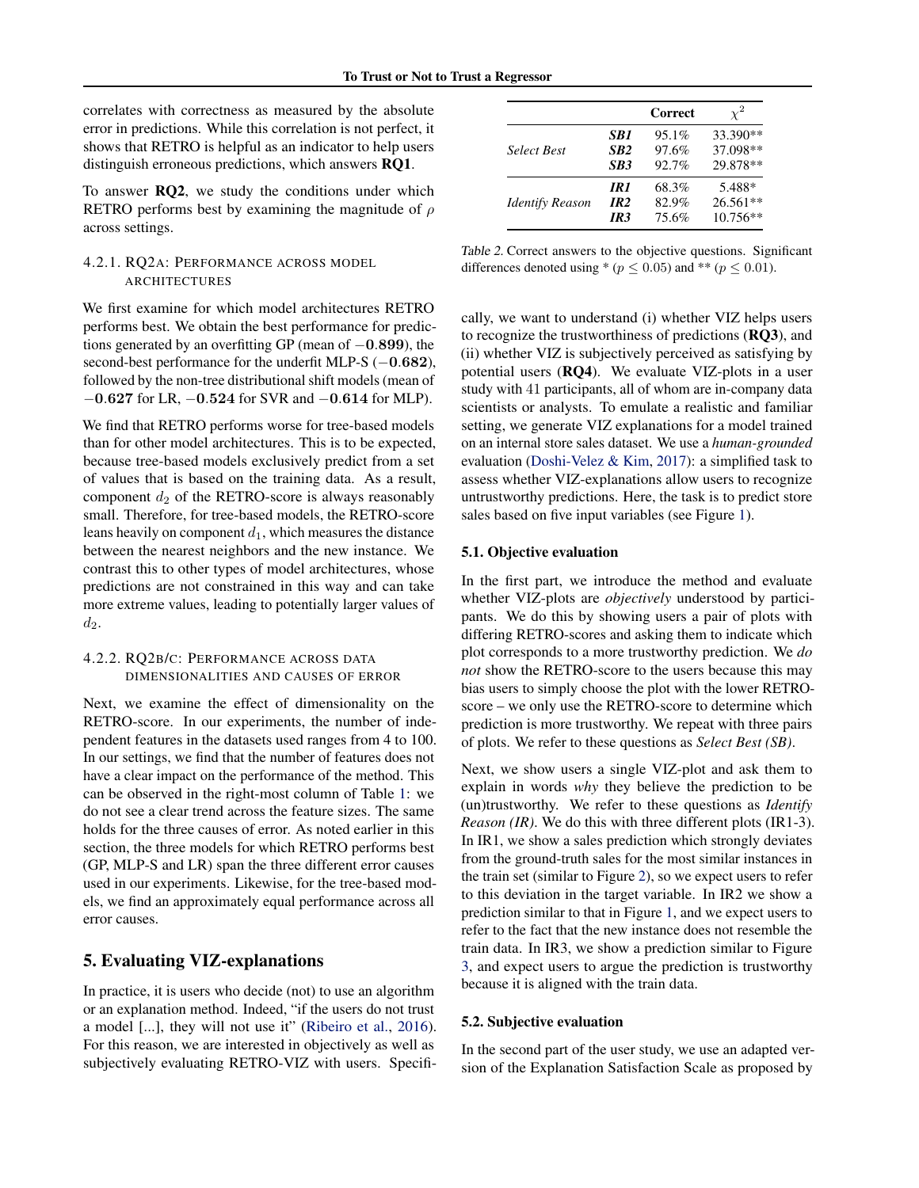<span id="page-5-0"></span>correlates with correctness as measured by the absolute error in predictions. While this correlation is not perfect, it shows that RETRO is helpful as an indicator to help users distinguish erroneous predictions, which answers RQ1.

To answer RQ2, we study the conditions under which RETRO performs best by examining the magnitude of  $\rho$ across settings.

## 4.2.1. RQ2A: PERFORMANCE ACROSS MODEL ARCHITECTURES

We first examine for which model architectures RETRO performs best. We obtain the best performance for predictions generated by an overfitting GP (mean of −0.899), the second-best performance for the underfit MLP-S (−0.682), followed by the non-tree distributional shift models (mean of −0.627 for LR, −0.524 for SVR and −0.614 for MLP).

We find that RETRO performs worse for tree-based models than for other model architectures. This is to be expected, because tree-based models exclusively predict from a set of values that is based on the training data. As a result, component  $d_2$  of the RETRO-score is always reasonably small. Therefore, for tree-based models, the RETRO-score leans heavily on component  $d_1$ , which measures the distance between the nearest neighbors and the new instance. We contrast this to other types of model architectures, whose predictions are not constrained in this way and can take more extreme values, leading to potentially larger values of  $d_2$ .

## 4.2.2. RQ2B/C: PERFORMANCE ACROSS DATA DIMENSIONALITIES AND CAUSES OF ERROR

Next, we examine the effect of dimensionality on the RETRO-score. In our experiments, the number of independent features in the datasets used ranges from 4 to 100. In our settings, we find that the number of features does not have a clear impact on the performance of the method. This can be observed in the right-most column of Table [1:](#page-4-0) we do not see a clear trend across the feature sizes. The same holds for the three causes of error. As noted earlier in this section, the three models for which RETRO performs best (GP, MLP-S and LR) span the three different error causes used in our experiments. Likewise, for the tree-based models, we find an approximately equal performance across all error causes.

# 5. Evaluating VIZ-explanations

In practice, it is users who decide (not) to use an algorithm or an explanation method. Indeed, "if the users do not trust a model [...], they will not use it" [\(Ribeiro et al.,](#page-9-0) [2016\)](#page-9-0). For this reason, we are interested in objectively as well as subjectively evaluating RETRO-VIZ with users. Specifi-

|                        |                 | Correct | $\gamma^2$ |
|------------------------|-----------------|---------|------------|
| <b>Select Best</b>     | SB1             | 95.1%   | 33.390**   |
|                        | SB <sub>2</sub> | 97.6%   | 37.098**   |
|                        | SB <sub>3</sub> | 92.7%   | 29.878**   |
| <b>Identify Reason</b> | IR1             | 68.3%   | 5.488*     |
|                        | IR <sub>2</sub> | 82.9%   | $26.561**$ |
|                        | IR3             | 75.6%   | $10.756**$ |

Table 2. Correct answers to the objective questions. Significant differences denoted using \* ( $p \leq 0.05$ ) and \*\* ( $p \leq 0.01$ ).

cally, we want to understand (i) whether VIZ helps users to recognize the trustworthiness of predictions (RQ3), and (ii) whether VIZ is subjectively perceived as satisfying by potential users (RQ4). We evaluate VIZ-plots in a user study with 41 participants, all of whom are in-company data scientists or analysts. To emulate a realistic and familiar setting, we generate VIZ explanations for a model trained on an internal store sales dataset. We use a *human-grounded* evaluation [\(Doshi-Velez & Kim,](#page-8-0) [2017\)](#page-8-0): a simplified task to assess whether VIZ-explanations allow users to recognize untrustworthy predictions. Here, the task is to predict store sales based on five input variables (see Figure [1\)](#page-3-0).

## 5.1. Objective evaluation

In the first part, we introduce the method and evaluate whether VIZ-plots are *objectively* understood by participants. We do this by showing users a pair of plots with differing RETRO-scores and asking them to indicate which plot corresponds to a more trustworthy prediction. We *do not* show the RETRO-score to the users because this may bias users to simply choose the plot with the lower RETROscore – we only use the RETRO-score to determine which prediction is more trustworthy. We repeat with three pairs of plots. We refer to these questions as *Select Best (SB)*.

Next, we show users a single VIZ-plot and ask them to explain in words *why* they believe the prediction to be (un)trustworthy. We refer to these questions as *Identify Reason (IR)*. We do this with three different plots (IR1-3). In IR1, we show a sales prediction which strongly deviates from the ground-truth sales for the most similar instances in the train set (similar to Figure [2\)](#page-7-0), so we expect users to refer to this deviation in the target variable. In IR2 we show a prediction similar to that in Figure [1,](#page-3-0) and we expect users to refer to the fact that the new instance does not resemble the train data. In IR3, we show a prediction similar to Figure [3,](#page-7-0) and expect users to argue the prediction is trustworthy because it is aligned with the train data.

## 5.2. Subjective evaluation

In the second part of the user study, we use an adapted version of the Explanation Satisfaction Scale as proposed by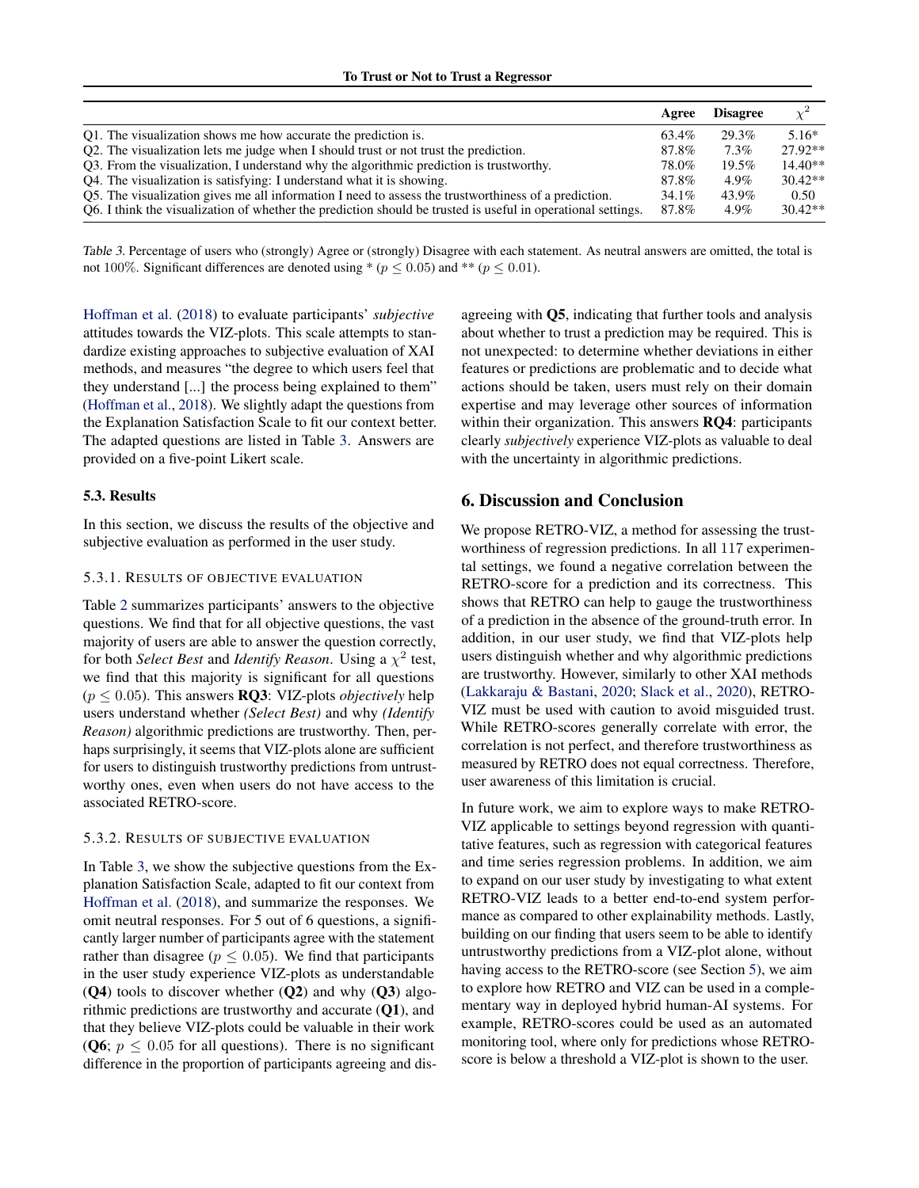|                                                                                                              | Agree    | <b>Disagree</b> | $\mathcal{V}^2$ |
|--------------------------------------------------------------------------------------------------------------|----------|-----------------|-----------------|
| Q1. The visualization shows me how accurate the prediction is.                                               | 63.4%    | 29.3%           | $5.16*$         |
| Q2. The visualization lets me judge when I should trust or not trust the prediction.                         | 87.8%    | $7.3\%$         | $27.92**$       |
| Q3. From the visualization, I understand why the algorithmic prediction is trustworthy.                      | 78.0%    | 19.5%           | $14.40**$       |
| Q4. The visualization is satisfying: I understand what it is showing.                                        | 87.8%    | $4.9\%$         | $30.42**$       |
| Q5. The visualization gives me all information I need to assess the trustworthiness of a prediction.         | $34.1\%$ | 43.9%           | 0.50            |
| O6. I think the visualization of whether the prediction should be trusted is useful in operational settings. | 87.8%    | $4.9\%$         | $30.42**$       |

Table 3. Percentage of users who (strongly) Agree or (strongly) Disagree with each statement. As neutral answers are omitted, the total is not 100%. Significant differences are denoted using  $p \leq (p \leq 0.05)$  and  $\gamma \leq (p \leq 0.01)$ .

[Hoffman et al.](#page-8-0) [\(2018\)](#page-8-0) to evaluate participants' *subjective* attitudes towards the VIZ-plots. This scale attempts to standardize existing approaches to subjective evaluation of XAI methods, and measures "the degree to which users feel that they understand [...] the process being explained to them" [\(Hoffman et al.,](#page-8-0) [2018\)](#page-8-0). We slightly adapt the questions from the Explanation Satisfaction Scale to fit our context better. The adapted questions are listed in Table 3. Answers are provided on a five-point Likert scale.

## 5.3. Results

In this section, we discuss the results of the objective and subjective evaluation as performed in the user study.

## 5.3.1. RESULTS OF OBJECTIVE EVALUATION

Table [2](#page-5-0) summarizes participants' answers to the objective questions. We find that for all objective questions, the vast majority of users are able to answer the question correctly, for both *Select Best* and *Identify Reason*. Using a  $\chi^2$  test, we find that this majority is significant for all questions  $(p \leq 0.05)$ . This answers **RQ3**: VIZ-plots *objectively* help users understand whether *(Select Best)* and why *(Identify Reason)* algorithmic predictions are trustworthy. Then, perhaps surprisingly, it seems that VIZ-plots alone are sufficient for users to distinguish trustworthy predictions from untrustworthy ones, even when users do not have access to the associated RETRO-score.

## 5.3.2. RESULTS OF SUBJECTIVE EVALUATION

In Table 3, we show the subjective questions from the Explanation Satisfaction Scale, adapted to fit our context from [Hoffman et al.](#page-8-0) [\(2018\)](#page-8-0), and summarize the responses. We omit neutral responses. For 5 out of 6 questions, a significantly larger number of participants agree with the statement rather than disagree ( $p \leq 0.05$ ). We find that participants in the user study experience VIZ-plots as understandable  $(Q4)$  tools to discover whether  $(Q2)$  and why  $(Q3)$  algorithmic predictions are trustworthy and accurate (Q1), and that they believe VIZ-plots could be valuable in their work (Q6;  $p \le 0.05$  for all questions). There is no significant difference in the proportion of participants agreeing and disagreeing with Q5, indicating that further tools and analysis about whether to trust a prediction may be required. This is not unexpected: to determine whether deviations in either features or predictions are problematic and to decide what actions should be taken, users must rely on their domain expertise and may leverage other sources of information within their organization. This answers **RQ4**: participants clearly *subjectively* experience VIZ-plots as valuable to deal with the uncertainty in algorithmic predictions.

## 6. Discussion and Conclusion

We propose RETRO-VIZ, a method for assessing the trustworthiness of regression predictions. In all 117 experimental settings, we found a negative correlation between the RETRO-score for a prediction and its correctness. This shows that RETRO can help to gauge the trustworthiness of a prediction in the absence of the ground-truth error. In addition, in our user study, we find that VIZ-plots help users distinguish whether and why algorithmic predictions are trustworthy. However, similarly to other XAI methods [\(Lakkaraju & Bastani,](#page-8-0) [2020;](#page-8-0) [Slack et al.,](#page-9-0) [2020\)](#page-9-0), RETRO-VIZ must be used with caution to avoid misguided trust. While RETRO-scores generally correlate with error, the correlation is not perfect, and therefore trustworthiness as measured by RETRO does not equal correctness. Therefore, user awareness of this limitation is crucial.

In future work, we aim to explore ways to make RETRO-VIZ applicable to settings beyond regression with quantitative features, such as regression with categorical features and time series regression problems. In addition, we aim to expand on our user study by investigating to what extent RETRO-VIZ leads to a better end-to-end system performance as compared to other explainability methods. Lastly, building on our finding that users seem to be able to identify untrustworthy predictions from a VIZ-plot alone, without having access to the RETRO-score (see Section [5\)](#page-5-0), we aim to explore how RETRO and VIZ can be used in a complementary way in deployed hybrid human-AI systems. For example, RETRO-scores could be used as an automated monitoring tool, where only for predictions whose RETROscore is below a threshold a VIZ-plot is shown to the user.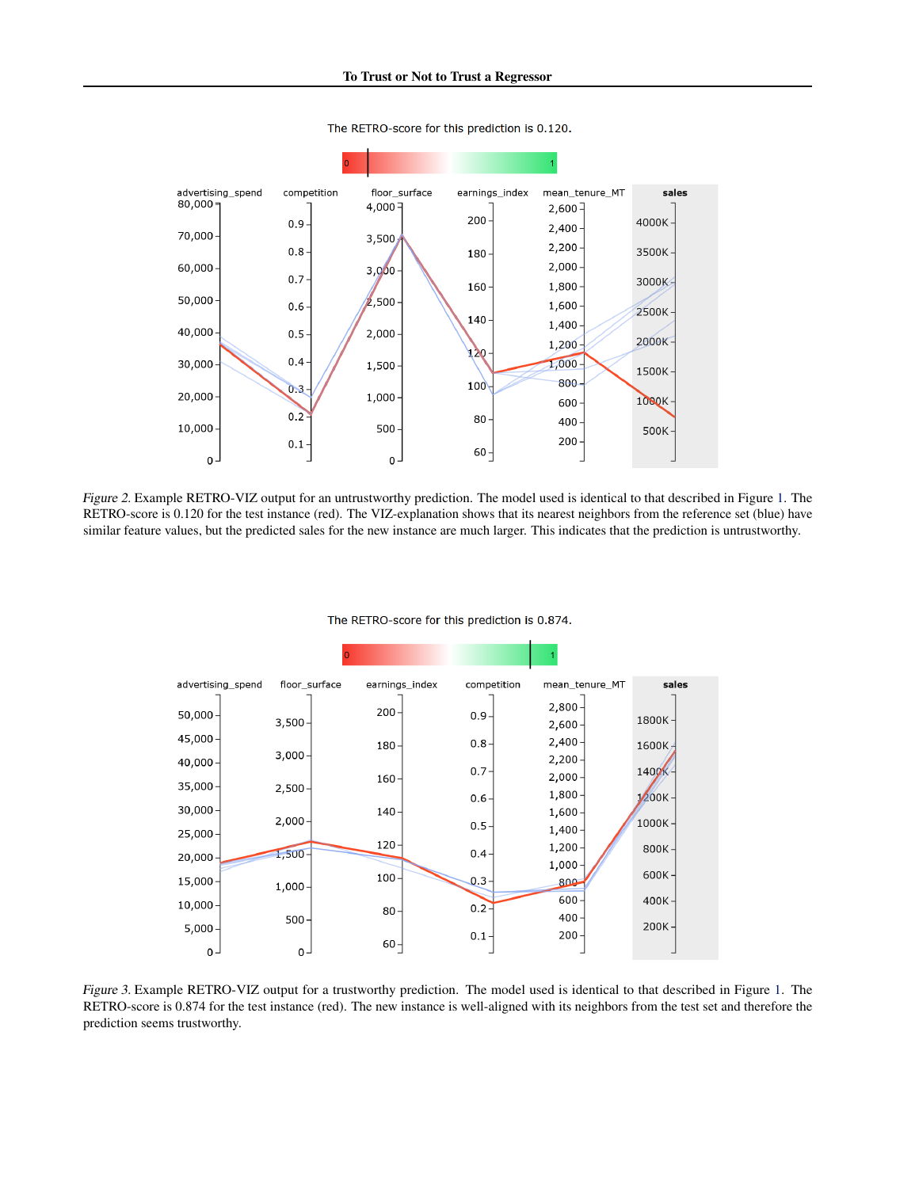<span id="page-7-0"></span>

The RETRO-score for this prediction is 0.120.

Figure 2. Example RETRO-VIZ output for an untrustworthy prediction. The model used is identical to that described in Figure [1.](#page-3-0) The RETRO-score is 0.120 for the test instance (red). The VIZ-explanation shows that its nearest neighbors from the reference set (blue) have similar feature values, but the predicted sales for the new instance are much larger. This indicates that the prediction is untrustworthy.

| advertising spend | floor_surface | earnings_index | competition | mean_tenure_MT         | sales      |
|-------------------|---------------|----------------|-------------|------------------------|------------|
| $50,000 -$        | $3,500 -$     | $200 -$        | $0.9 -$     | $2,800 -$<br>$2,600 -$ | 1800K-     |
| $45,000 -$        |               | $180 -$        | $0.8 -$     | $2,400 -$              | 1600K/     |
| $40,000 -$        | $3,000 -$     |                |             | $2,200 -$              |            |
| $35,000 -$        | $2,500 -$     | $160 -$        | $0.7 -$     | $2,000 -$              | 1400K-     |
|                   |               |                | $0.6 -$     | $1,800 -$              | $1/200K -$ |
| $30,000 -$        | $2,000 -$     | $140 -$        | $0.5 -$     | $1,600 -$              | 1000K-     |
| $25,000 -$        |               | $120 -$        |             | $1,400 -$              |            |
| 20,000            | $1,500 -$     |                | $0.4 -$     | $1,200 \cdot$<br>1,000 | $800K -$   |
| $15,000 -$        | $1,000 -$     | $100 -$        | $0.3 -$     | 800                    | $600K -$   |
| $10,000 -$        |               | $80 -$         | $0.2 -$     | $600 -$                | $400K -$   |
| $5,000 -$         | $500 -$       |                | $0.1 -$     | $400 -$<br>$200 -$     | $200K -$   |
| $0 -$             | $0 -$         | $60 -$         |             |                        |            |

The RETRO-score for this prediction is 0.874.

Figure 3. Example RETRO-VIZ output for a trustworthy prediction. The model used is identical to that described in Figure [1.](#page-3-0) The RETRO-score is 0.874 for the test instance (red). The new instance is well-aligned with its neighbors from the test set and therefore the prediction seems trustworthy.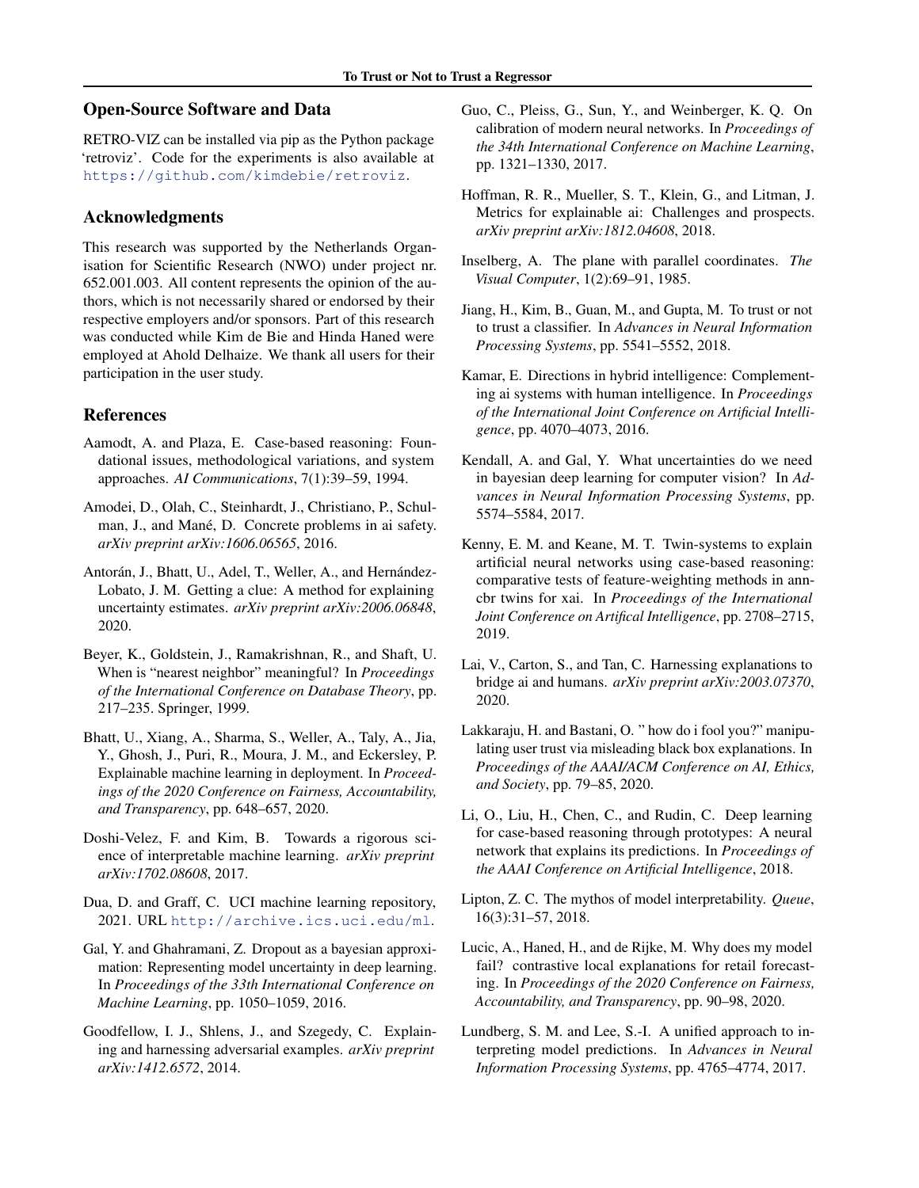# <span id="page-8-0"></span>Open-Source Software and Data

RETRO-VIZ can be installed via pip as the Python package 'retroviz'. Code for the experiments is also available at <https://github.com/kimdebie/retroviz>.

## Acknowledgments

This research was supported by the Netherlands Organisation for Scientific Research (NWO) under project nr. 652.001.003. All content represents the opinion of the authors, which is not necessarily shared or endorsed by their respective employers and/or sponsors. Part of this research was conducted while Kim de Bie and Hinda Haned were employed at Ahold Delhaize. We thank all users for their participation in the user study.

## References

- Aamodt, A. and Plaza, E. Case-based reasoning: Foundational issues, methodological variations, and system approaches. *AI Communications*, 7(1):39–59, 1994.
- Amodei, D., Olah, C., Steinhardt, J., Christiano, P., Schulman, J., and Mané, D. Concrete problems in ai safety. *arXiv preprint arXiv:1606.06565*, 2016.
- Antorán, J., Bhatt, U., Adel, T., Weller, A., and Hernández-Lobato, J. M. Getting a clue: A method for explaining uncertainty estimates. *arXiv preprint arXiv:2006.06848*, 2020.
- Beyer, K., Goldstein, J., Ramakrishnan, R., and Shaft, U. When is "nearest neighbor" meaningful? In *Proceedings of the International Conference on Database Theory*, pp. 217–235. Springer, 1999.
- Bhatt, U., Xiang, A., Sharma, S., Weller, A., Taly, A., Jia, Y., Ghosh, J., Puri, R., Moura, J. M., and Eckersley, P. Explainable machine learning in deployment. In *Proceedings of the 2020 Conference on Fairness, Accountability, and Transparency*, pp. 648–657, 2020.
- Doshi-Velez, F. and Kim, B. Towards a rigorous science of interpretable machine learning. *arXiv preprint arXiv:1702.08608*, 2017.
- Dua, D. and Graff, C. UCI machine learning repository, 2021. URL <http://archive.ics.uci.edu/ml>.
- Gal, Y. and Ghahramani, Z. Dropout as a bayesian approximation: Representing model uncertainty in deep learning. In *Proceedings of the 33th International Conference on Machine Learning*, pp. 1050–1059, 2016.
- Goodfellow, I. J., Shlens, J., and Szegedy, C. Explaining and harnessing adversarial examples. *arXiv preprint arXiv:1412.6572*, 2014.
- Guo, C., Pleiss, G., Sun, Y., and Weinberger, K. Q. On calibration of modern neural networks. In *Proceedings of the 34th International Conference on Machine Learning*, pp. 1321–1330, 2017.
- Hoffman, R. R., Mueller, S. T., Klein, G., and Litman, J. Metrics for explainable ai: Challenges and prospects. *arXiv preprint arXiv:1812.04608*, 2018.
- Inselberg, A. The plane with parallel coordinates. *The Visual Computer*, 1(2):69–91, 1985.
- Jiang, H., Kim, B., Guan, M., and Gupta, M. To trust or not to trust a classifier. In *Advances in Neural Information Processing Systems*, pp. 5541–5552, 2018.
- Kamar, E. Directions in hybrid intelligence: Complementing ai systems with human intelligence. In *Proceedings of the International Joint Conference on Artificial Intelligence*, pp. 4070–4073, 2016.
- Kendall, A. and Gal, Y. What uncertainties do we need in bayesian deep learning for computer vision? In *Advances in Neural Information Processing Systems*, pp. 5574–5584, 2017.
- Kenny, E. M. and Keane, M. T. Twin-systems to explain artificial neural networks using case-based reasoning: comparative tests of feature-weighting methods in anncbr twins for xai. In *Proceedings of the International Joint Conference on Artifical Intelligence*, pp. 2708–2715, 2019.
- Lai, V., Carton, S., and Tan, C. Harnessing explanations to bridge ai and humans. *arXiv preprint arXiv:2003.07370*, 2020.
- Lakkaraju, H. and Bastani, O. " how do i fool you?" manipulating user trust via misleading black box explanations. In *Proceedings of the AAAI/ACM Conference on AI, Ethics, and Society*, pp. 79–85, 2020.
- Li, O., Liu, H., Chen, C., and Rudin, C. Deep learning for case-based reasoning through prototypes: A neural network that explains its predictions. In *Proceedings of the AAAI Conference on Artificial Intelligence*, 2018.
- Lipton, Z. C. The mythos of model interpretability. *Queue*, 16(3):31–57, 2018.
- Lucic, A., Haned, H., and de Rijke, M. Why does my model fail? contrastive local explanations for retail forecasting. In *Proceedings of the 2020 Conference on Fairness, Accountability, and Transparency*, pp. 90–98, 2020.
- Lundberg, S. M. and Lee, S.-I. A unified approach to interpreting model predictions. In *Advances in Neural Information Processing Systems*, pp. 4765–4774, 2017.